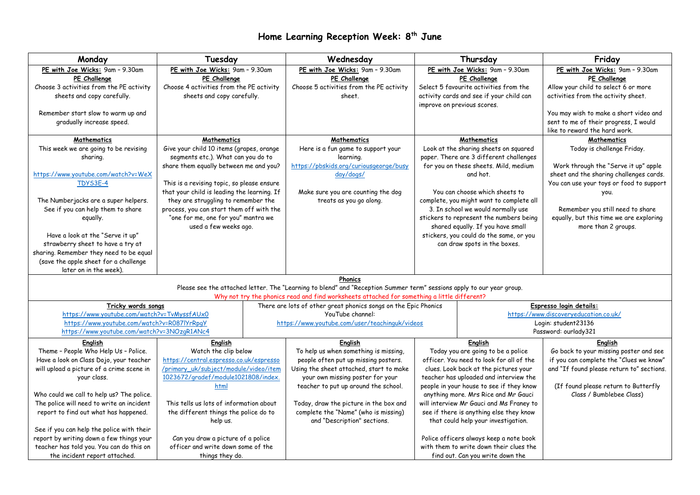## **Home Learning Reception Week: 8 th June**

| PE with Joe Wicks: 9am - 9.30am<br>PE with Joe Wicks: 9am - 9.30am<br>PE with Joe Wicks: 9am - 9.30am<br>PE with Joe Wicks: 9am - 9.30am<br>PE with Joe Wicks: 9am - 9.30am<br>PE Challenge<br>PE Challenge<br>PE Challenge<br>PE Challenge<br>PE Challenge<br>Choose 3 activities from the PE activity<br>Choose 4 activities from the PE activity<br>Choose 5 activities from the PE activity<br>Select 5 favourite activities from the<br>Allow your child to select 6 or more<br>sheets and copy carefully.<br>sheets and copy carefully.<br>activity cards and see if your child can<br>activities from the activity sheet.<br>sheet.<br>improve on previous scores.<br>Remember start slow to warm up and<br>You may wish to make a short video and<br>gradually increase speed.<br>sent to me of their progress, I would<br>like to reward the hard work.<br><b>Mathematics</b><br><b>Mathematics</b><br><b>Mathematics</b><br><b>Mathematics</b><br><b>Mathematics</b><br>This week we are going to be revising<br>Give your child 10 items (grapes, orange<br>Look at the sharing sheets on squared<br>Today is challenge Friday.<br>Here is a fun game to support your<br>segments etc.). What can you do to<br>paper. There are 3 different challenges<br>sharing.<br>learning.<br>https://pbskids.org/curiousgeorge/busy<br>for you on these sheets. Mild, medium<br>share them equally between me and you?<br>Work through the "Serve it up" apple<br>day/dogs/<br>sheet and the sharing challenges cards.<br>https://www.youtube.com/watch?v=WeX<br>and hot.<br>You can use your toys or food to support<br>TDYS3E-4<br>This is a revising topic, so please ensure<br>that your child is leading the learning. If<br>You can choose which sheets to<br>Make sure you are counting the dog<br>you.<br>they are struggling to remember the<br>treats as you go along.<br>complete, you might want to complete all<br>The Numberjacks are a super helpers.<br>See if you can help them to share<br>process, you can start them off with the<br>3. In school we would normally use<br>Remember you still need to share<br>"one for me, one for you" mantra we<br>stickers to represent the numbers being<br>equally, but this time we are exploring<br>equally.<br>used a few weeks ago.<br>shared equally. If you have small<br>more than 2 groups.<br>Have a look at the "Serve it up"<br>stickers, you could do the same, or you<br>strawberry sheet to have a try at<br>can draw spots in the boxes.<br>sharing. Remember they need to be equal<br>(save the apple sheet for a challenge<br>later on in the week).<br>Phonics<br>Please see the attached letter. The "Learning to blend" and "Reception Summer term" sessions apply to our year group.<br>Why not try the phonics read and find worksheets attached for something a little different?<br>There are lots of other great phonics songs on the Epic Phonics<br>Tricky words songs<br>Espresso login details:<br>https://www.youtube.com/watch?v=TvMyssfAUx0<br>YouTube channel:<br>https://www.discoveryeducation.co.uk/<br>https://www.youtube.com/watch?v=R087lYrRpqY<br>Login: student23136<br>https://www.youtube.com/user/teachinguk/videos<br>https://www.youtube.com/watch?v=3NOzgR1ANc4<br>Password: ourlady321<br>English<br>English<br><b>English</b><br>English<br>English<br>Theme - People Who Help Us - Police.<br>Watch the clip below<br>Today you are going to be a police<br>Go back to your missing poster and see<br>To help us when something is missing,<br>if you can complete the "Clues we know"<br>Have a look on Class Dojo, your teacher<br>https://central.espresso.co.uk/espresso<br>people often put up missing posters.<br>officer. You need to look for all of the<br>will upload a picture of a crime scene in<br>/primary_uk/subject/module/video/item<br>Using the sheet attached, start to make<br>and "If found please return to" sections.<br>clues. Look back at the pictures your<br>1023672/gradef/module1021808/index.<br>your own missing poster for your<br>teacher has uploaded and interview the<br>your class.<br>teacher to put up around the school.<br>people in your house to see if they know<br>(If found please return to Butterfly<br>html<br>Class / Bumblebee Class)<br>anything more. Mrs Rice and Mr Gauci<br>Who could we call to help us? The police.<br>The police will need to write an incident<br>will interview Mr Gauci and Ms Franey to<br>This tells us lots of information about<br>Today, draw the picture in the box and<br>complete the "Name" (who is missing)<br>report to find out what has happened.<br>the different things the police do to<br>see if there is anything else they know<br>and "Description" sections.<br>that could help your investigation.<br>help us.<br>See if you can help the police with their<br>report by writing down a few things your<br>Can you draw a picture of a police<br>Police officers always keep a note book | Monday                                   | Tuesday                            |  | Wednesday | Thursday |  | Friday |  |  |  |
|---------------------------------------------------------------------------------------------------------------------------------------------------------------------------------------------------------------------------------------------------------------------------------------------------------------------------------------------------------------------------------------------------------------------------------------------------------------------------------------------------------------------------------------------------------------------------------------------------------------------------------------------------------------------------------------------------------------------------------------------------------------------------------------------------------------------------------------------------------------------------------------------------------------------------------------------------------------------------------------------------------------------------------------------------------------------------------------------------------------------------------------------------------------------------------------------------------------------------------------------------------------------------------------------------------------------------------------------------------------------------------------------------------------------------------------------------------------------------------------------------------------------------------------------------------------------------------------------------------------------------------------------------------------------------------------------------------------------------------------------------------------------------------------------------------------------------------------------------------------------------------------------------------------------------------------------------------------------------------------------------------------------------------------------------------------------------------------------------------------------------------------------------------------------------------------------------------------------------------------------------------------------------------------------------------------------------------------------------------------------------------------------------------------------------------------------------------------------------------------------------------------------------------------------------------------------------------------------------------------------------------------------------------------------------------------------------------------------------------------------------------------------------------------------------------------------------------------------------------------------------------------------------------------------------------------------------------------------------------------------------------------------------------------------------------------------------------------------------------------------------------------------------------------------------------------------------------------------------------------------------------------------------------------------------------------------------------------------------------------------------------------------------------------------------------------------------------------------------------------------------------------------------------------------------------------------------------------------------------------------------------------------------------------------------------------------------------------------------------------------------------------------------------------------------------------------------------------------------------------------------------------------------------------------------------------------------------------------------------------------------------------------------------------------------------------------------------------------------------------------------------------------------------------------------------------------------------------------------------------------------------------------------------------------------------------------------------------------------------------------------------------------------------------------------------------------------------------------------------------------------------------------------------------------------------------------------------------------------------------------------------------------------------------------------------------------------------------------------------------------------------------------------------------------------------------------------------------------------------------------------------------------------------------------------------------------------------------------------------------------------------------|------------------------------------------|------------------------------------|--|-----------|----------|--|--------|--|--|--|
|                                                                                                                                                                                                                                                                                                                                                                                                                                                                                                                                                                                                                                                                                                                                                                                                                                                                                                                                                                                                                                                                                                                                                                                                                                                                                                                                                                                                                                                                                                                                                                                                                                                                                                                                                                                                                                                                                                                                                                                                                                                                                                                                                                                                                                                                                                                                                                                                                                                                                                                                                                                                                                                                                                                                                                                                                                                                                                                                                                                                                                                                                                                                                                                                                                                                                                                                                                                                                                                                                                                                                                                                                                                                                                                                                                                                                                                                                                                                                                                                                                                                                                                                                                                                                                                                                                                                                                                                                                                                                                                                                                                                                                                                                                                                                                                                                                                                                                                                                                                                               |                                          |                                    |  |           |          |  |        |  |  |  |
|                                                                                                                                                                                                                                                                                                                                                                                                                                                                                                                                                                                                                                                                                                                                                                                                                                                                                                                                                                                                                                                                                                                                                                                                                                                                                                                                                                                                                                                                                                                                                                                                                                                                                                                                                                                                                                                                                                                                                                                                                                                                                                                                                                                                                                                                                                                                                                                                                                                                                                                                                                                                                                                                                                                                                                                                                                                                                                                                                                                                                                                                                                                                                                                                                                                                                                                                                                                                                                                                                                                                                                                                                                                                                                                                                                                                                                                                                                                                                                                                                                                                                                                                                                                                                                                                                                                                                                                                                                                                                                                                                                                                                                                                                                                                                                                                                                                                                                                                                                                                               |                                          |                                    |  |           |          |  |        |  |  |  |
|                                                                                                                                                                                                                                                                                                                                                                                                                                                                                                                                                                                                                                                                                                                                                                                                                                                                                                                                                                                                                                                                                                                                                                                                                                                                                                                                                                                                                                                                                                                                                                                                                                                                                                                                                                                                                                                                                                                                                                                                                                                                                                                                                                                                                                                                                                                                                                                                                                                                                                                                                                                                                                                                                                                                                                                                                                                                                                                                                                                                                                                                                                                                                                                                                                                                                                                                                                                                                                                                                                                                                                                                                                                                                                                                                                                                                                                                                                                                                                                                                                                                                                                                                                                                                                                                                                                                                                                                                                                                                                                                                                                                                                                                                                                                                                                                                                                                                                                                                                                                               |                                          |                                    |  |           |          |  |        |  |  |  |
|                                                                                                                                                                                                                                                                                                                                                                                                                                                                                                                                                                                                                                                                                                                                                                                                                                                                                                                                                                                                                                                                                                                                                                                                                                                                                                                                                                                                                                                                                                                                                                                                                                                                                                                                                                                                                                                                                                                                                                                                                                                                                                                                                                                                                                                                                                                                                                                                                                                                                                                                                                                                                                                                                                                                                                                                                                                                                                                                                                                                                                                                                                                                                                                                                                                                                                                                                                                                                                                                                                                                                                                                                                                                                                                                                                                                                                                                                                                                                                                                                                                                                                                                                                                                                                                                                                                                                                                                                                                                                                                                                                                                                                                                                                                                                                                                                                                                                                                                                                                                               |                                          |                                    |  |           |          |  |        |  |  |  |
|                                                                                                                                                                                                                                                                                                                                                                                                                                                                                                                                                                                                                                                                                                                                                                                                                                                                                                                                                                                                                                                                                                                                                                                                                                                                                                                                                                                                                                                                                                                                                                                                                                                                                                                                                                                                                                                                                                                                                                                                                                                                                                                                                                                                                                                                                                                                                                                                                                                                                                                                                                                                                                                                                                                                                                                                                                                                                                                                                                                                                                                                                                                                                                                                                                                                                                                                                                                                                                                                                                                                                                                                                                                                                                                                                                                                                                                                                                                                                                                                                                                                                                                                                                                                                                                                                                                                                                                                                                                                                                                                                                                                                                                                                                                                                                                                                                                                                                                                                                                                               |                                          |                                    |  |           |          |  |        |  |  |  |
|                                                                                                                                                                                                                                                                                                                                                                                                                                                                                                                                                                                                                                                                                                                                                                                                                                                                                                                                                                                                                                                                                                                                                                                                                                                                                                                                                                                                                                                                                                                                                                                                                                                                                                                                                                                                                                                                                                                                                                                                                                                                                                                                                                                                                                                                                                                                                                                                                                                                                                                                                                                                                                                                                                                                                                                                                                                                                                                                                                                                                                                                                                                                                                                                                                                                                                                                                                                                                                                                                                                                                                                                                                                                                                                                                                                                                                                                                                                                                                                                                                                                                                                                                                                                                                                                                                                                                                                                                                                                                                                                                                                                                                                                                                                                                                                                                                                                                                                                                                                                               |                                          |                                    |  |           |          |  |        |  |  |  |
|                                                                                                                                                                                                                                                                                                                                                                                                                                                                                                                                                                                                                                                                                                                                                                                                                                                                                                                                                                                                                                                                                                                                                                                                                                                                                                                                                                                                                                                                                                                                                                                                                                                                                                                                                                                                                                                                                                                                                                                                                                                                                                                                                                                                                                                                                                                                                                                                                                                                                                                                                                                                                                                                                                                                                                                                                                                                                                                                                                                                                                                                                                                                                                                                                                                                                                                                                                                                                                                                                                                                                                                                                                                                                                                                                                                                                                                                                                                                                                                                                                                                                                                                                                                                                                                                                                                                                                                                                                                                                                                                                                                                                                                                                                                                                                                                                                                                                                                                                                                                               |                                          |                                    |  |           |          |  |        |  |  |  |
|                                                                                                                                                                                                                                                                                                                                                                                                                                                                                                                                                                                                                                                                                                                                                                                                                                                                                                                                                                                                                                                                                                                                                                                                                                                                                                                                                                                                                                                                                                                                                                                                                                                                                                                                                                                                                                                                                                                                                                                                                                                                                                                                                                                                                                                                                                                                                                                                                                                                                                                                                                                                                                                                                                                                                                                                                                                                                                                                                                                                                                                                                                                                                                                                                                                                                                                                                                                                                                                                                                                                                                                                                                                                                                                                                                                                                                                                                                                                                                                                                                                                                                                                                                                                                                                                                                                                                                                                                                                                                                                                                                                                                                                                                                                                                                                                                                                                                                                                                                                                               |                                          |                                    |  |           |          |  |        |  |  |  |
|                                                                                                                                                                                                                                                                                                                                                                                                                                                                                                                                                                                                                                                                                                                                                                                                                                                                                                                                                                                                                                                                                                                                                                                                                                                                                                                                                                                                                                                                                                                                                                                                                                                                                                                                                                                                                                                                                                                                                                                                                                                                                                                                                                                                                                                                                                                                                                                                                                                                                                                                                                                                                                                                                                                                                                                                                                                                                                                                                                                                                                                                                                                                                                                                                                                                                                                                                                                                                                                                                                                                                                                                                                                                                                                                                                                                                                                                                                                                                                                                                                                                                                                                                                                                                                                                                                                                                                                                                                                                                                                                                                                                                                                                                                                                                                                                                                                                                                                                                                                                               |                                          |                                    |  |           |          |  |        |  |  |  |
|                                                                                                                                                                                                                                                                                                                                                                                                                                                                                                                                                                                                                                                                                                                                                                                                                                                                                                                                                                                                                                                                                                                                                                                                                                                                                                                                                                                                                                                                                                                                                                                                                                                                                                                                                                                                                                                                                                                                                                                                                                                                                                                                                                                                                                                                                                                                                                                                                                                                                                                                                                                                                                                                                                                                                                                                                                                                                                                                                                                                                                                                                                                                                                                                                                                                                                                                                                                                                                                                                                                                                                                                                                                                                                                                                                                                                                                                                                                                                                                                                                                                                                                                                                                                                                                                                                                                                                                                                                                                                                                                                                                                                                                                                                                                                                                                                                                                                                                                                                                                               |                                          |                                    |  |           |          |  |        |  |  |  |
|                                                                                                                                                                                                                                                                                                                                                                                                                                                                                                                                                                                                                                                                                                                                                                                                                                                                                                                                                                                                                                                                                                                                                                                                                                                                                                                                                                                                                                                                                                                                                                                                                                                                                                                                                                                                                                                                                                                                                                                                                                                                                                                                                                                                                                                                                                                                                                                                                                                                                                                                                                                                                                                                                                                                                                                                                                                                                                                                                                                                                                                                                                                                                                                                                                                                                                                                                                                                                                                                                                                                                                                                                                                                                                                                                                                                                                                                                                                                                                                                                                                                                                                                                                                                                                                                                                                                                                                                                                                                                                                                                                                                                                                                                                                                                                                                                                                                                                                                                                                                               |                                          |                                    |  |           |          |  |        |  |  |  |
|                                                                                                                                                                                                                                                                                                                                                                                                                                                                                                                                                                                                                                                                                                                                                                                                                                                                                                                                                                                                                                                                                                                                                                                                                                                                                                                                                                                                                                                                                                                                                                                                                                                                                                                                                                                                                                                                                                                                                                                                                                                                                                                                                                                                                                                                                                                                                                                                                                                                                                                                                                                                                                                                                                                                                                                                                                                                                                                                                                                                                                                                                                                                                                                                                                                                                                                                                                                                                                                                                                                                                                                                                                                                                                                                                                                                                                                                                                                                                                                                                                                                                                                                                                                                                                                                                                                                                                                                                                                                                                                                                                                                                                                                                                                                                                                                                                                                                                                                                                                                               |                                          |                                    |  |           |          |  |        |  |  |  |
|                                                                                                                                                                                                                                                                                                                                                                                                                                                                                                                                                                                                                                                                                                                                                                                                                                                                                                                                                                                                                                                                                                                                                                                                                                                                                                                                                                                                                                                                                                                                                                                                                                                                                                                                                                                                                                                                                                                                                                                                                                                                                                                                                                                                                                                                                                                                                                                                                                                                                                                                                                                                                                                                                                                                                                                                                                                                                                                                                                                                                                                                                                                                                                                                                                                                                                                                                                                                                                                                                                                                                                                                                                                                                                                                                                                                                                                                                                                                                                                                                                                                                                                                                                                                                                                                                                                                                                                                                                                                                                                                                                                                                                                                                                                                                                                                                                                                                                                                                                                                               |                                          |                                    |  |           |          |  |        |  |  |  |
|                                                                                                                                                                                                                                                                                                                                                                                                                                                                                                                                                                                                                                                                                                                                                                                                                                                                                                                                                                                                                                                                                                                                                                                                                                                                                                                                                                                                                                                                                                                                                                                                                                                                                                                                                                                                                                                                                                                                                                                                                                                                                                                                                                                                                                                                                                                                                                                                                                                                                                                                                                                                                                                                                                                                                                                                                                                                                                                                                                                                                                                                                                                                                                                                                                                                                                                                                                                                                                                                                                                                                                                                                                                                                                                                                                                                                                                                                                                                                                                                                                                                                                                                                                                                                                                                                                                                                                                                                                                                                                                                                                                                                                                                                                                                                                                                                                                                                                                                                                                                               |                                          |                                    |  |           |          |  |        |  |  |  |
|                                                                                                                                                                                                                                                                                                                                                                                                                                                                                                                                                                                                                                                                                                                                                                                                                                                                                                                                                                                                                                                                                                                                                                                                                                                                                                                                                                                                                                                                                                                                                                                                                                                                                                                                                                                                                                                                                                                                                                                                                                                                                                                                                                                                                                                                                                                                                                                                                                                                                                                                                                                                                                                                                                                                                                                                                                                                                                                                                                                                                                                                                                                                                                                                                                                                                                                                                                                                                                                                                                                                                                                                                                                                                                                                                                                                                                                                                                                                                                                                                                                                                                                                                                                                                                                                                                                                                                                                                                                                                                                                                                                                                                                                                                                                                                                                                                                                                                                                                                                                               |                                          |                                    |  |           |          |  |        |  |  |  |
|                                                                                                                                                                                                                                                                                                                                                                                                                                                                                                                                                                                                                                                                                                                                                                                                                                                                                                                                                                                                                                                                                                                                                                                                                                                                                                                                                                                                                                                                                                                                                                                                                                                                                                                                                                                                                                                                                                                                                                                                                                                                                                                                                                                                                                                                                                                                                                                                                                                                                                                                                                                                                                                                                                                                                                                                                                                                                                                                                                                                                                                                                                                                                                                                                                                                                                                                                                                                                                                                                                                                                                                                                                                                                                                                                                                                                                                                                                                                                                                                                                                                                                                                                                                                                                                                                                                                                                                                                                                                                                                                                                                                                                                                                                                                                                                                                                                                                                                                                                                                               |                                          |                                    |  |           |          |  |        |  |  |  |
|                                                                                                                                                                                                                                                                                                                                                                                                                                                                                                                                                                                                                                                                                                                                                                                                                                                                                                                                                                                                                                                                                                                                                                                                                                                                                                                                                                                                                                                                                                                                                                                                                                                                                                                                                                                                                                                                                                                                                                                                                                                                                                                                                                                                                                                                                                                                                                                                                                                                                                                                                                                                                                                                                                                                                                                                                                                                                                                                                                                                                                                                                                                                                                                                                                                                                                                                                                                                                                                                                                                                                                                                                                                                                                                                                                                                                                                                                                                                                                                                                                                                                                                                                                                                                                                                                                                                                                                                                                                                                                                                                                                                                                                                                                                                                                                                                                                                                                                                                                                                               |                                          |                                    |  |           |          |  |        |  |  |  |
|                                                                                                                                                                                                                                                                                                                                                                                                                                                                                                                                                                                                                                                                                                                                                                                                                                                                                                                                                                                                                                                                                                                                                                                                                                                                                                                                                                                                                                                                                                                                                                                                                                                                                                                                                                                                                                                                                                                                                                                                                                                                                                                                                                                                                                                                                                                                                                                                                                                                                                                                                                                                                                                                                                                                                                                                                                                                                                                                                                                                                                                                                                                                                                                                                                                                                                                                                                                                                                                                                                                                                                                                                                                                                                                                                                                                                                                                                                                                                                                                                                                                                                                                                                                                                                                                                                                                                                                                                                                                                                                                                                                                                                                                                                                                                                                                                                                                                                                                                                                                               |                                          |                                    |  |           |          |  |        |  |  |  |
|                                                                                                                                                                                                                                                                                                                                                                                                                                                                                                                                                                                                                                                                                                                                                                                                                                                                                                                                                                                                                                                                                                                                                                                                                                                                                                                                                                                                                                                                                                                                                                                                                                                                                                                                                                                                                                                                                                                                                                                                                                                                                                                                                                                                                                                                                                                                                                                                                                                                                                                                                                                                                                                                                                                                                                                                                                                                                                                                                                                                                                                                                                                                                                                                                                                                                                                                                                                                                                                                                                                                                                                                                                                                                                                                                                                                                                                                                                                                                                                                                                                                                                                                                                                                                                                                                                                                                                                                                                                                                                                                                                                                                                                                                                                                                                                                                                                                                                                                                                                                               |                                          |                                    |  |           |          |  |        |  |  |  |
|                                                                                                                                                                                                                                                                                                                                                                                                                                                                                                                                                                                                                                                                                                                                                                                                                                                                                                                                                                                                                                                                                                                                                                                                                                                                                                                                                                                                                                                                                                                                                                                                                                                                                                                                                                                                                                                                                                                                                                                                                                                                                                                                                                                                                                                                                                                                                                                                                                                                                                                                                                                                                                                                                                                                                                                                                                                                                                                                                                                                                                                                                                                                                                                                                                                                                                                                                                                                                                                                                                                                                                                                                                                                                                                                                                                                                                                                                                                                                                                                                                                                                                                                                                                                                                                                                                                                                                                                                                                                                                                                                                                                                                                                                                                                                                                                                                                                                                                                                                                                               |                                          |                                    |  |           |          |  |        |  |  |  |
|                                                                                                                                                                                                                                                                                                                                                                                                                                                                                                                                                                                                                                                                                                                                                                                                                                                                                                                                                                                                                                                                                                                                                                                                                                                                                                                                                                                                                                                                                                                                                                                                                                                                                                                                                                                                                                                                                                                                                                                                                                                                                                                                                                                                                                                                                                                                                                                                                                                                                                                                                                                                                                                                                                                                                                                                                                                                                                                                                                                                                                                                                                                                                                                                                                                                                                                                                                                                                                                                                                                                                                                                                                                                                                                                                                                                                                                                                                                                                                                                                                                                                                                                                                                                                                                                                                                                                                                                                                                                                                                                                                                                                                                                                                                                                                                                                                                                                                                                                                                                               |                                          |                                    |  |           |          |  |        |  |  |  |
|                                                                                                                                                                                                                                                                                                                                                                                                                                                                                                                                                                                                                                                                                                                                                                                                                                                                                                                                                                                                                                                                                                                                                                                                                                                                                                                                                                                                                                                                                                                                                                                                                                                                                                                                                                                                                                                                                                                                                                                                                                                                                                                                                                                                                                                                                                                                                                                                                                                                                                                                                                                                                                                                                                                                                                                                                                                                                                                                                                                                                                                                                                                                                                                                                                                                                                                                                                                                                                                                                                                                                                                                                                                                                                                                                                                                                                                                                                                                                                                                                                                                                                                                                                                                                                                                                                                                                                                                                                                                                                                                                                                                                                                                                                                                                                                                                                                                                                                                                                                                               |                                          |                                    |  |           |          |  |        |  |  |  |
|                                                                                                                                                                                                                                                                                                                                                                                                                                                                                                                                                                                                                                                                                                                                                                                                                                                                                                                                                                                                                                                                                                                                                                                                                                                                                                                                                                                                                                                                                                                                                                                                                                                                                                                                                                                                                                                                                                                                                                                                                                                                                                                                                                                                                                                                                                                                                                                                                                                                                                                                                                                                                                                                                                                                                                                                                                                                                                                                                                                                                                                                                                                                                                                                                                                                                                                                                                                                                                                                                                                                                                                                                                                                                                                                                                                                                                                                                                                                                                                                                                                                                                                                                                                                                                                                                                                                                                                                                                                                                                                                                                                                                                                                                                                                                                                                                                                                                                                                                                                                               |                                          |                                    |  |           |          |  |        |  |  |  |
|                                                                                                                                                                                                                                                                                                                                                                                                                                                                                                                                                                                                                                                                                                                                                                                                                                                                                                                                                                                                                                                                                                                                                                                                                                                                                                                                                                                                                                                                                                                                                                                                                                                                                                                                                                                                                                                                                                                                                                                                                                                                                                                                                                                                                                                                                                                                                                                                                                                                                                                                                                                                                                                                                                                                                                                                                                                                                                                                                                                                                                                                                                                                                                                                                                                                                                                                                                                                                                                                                                                                                                                                                                                                                                                                                                                                                                                                                                                                                                                                                                                                                                                                                                                                                                                                                                                                                                                                                                                                                                                                                                                                                                                                                                                                                                                                                                                                                                                                                                                                               |                                          |                                    |  |           |          |  |        |  |  |  |
|                                                                                                                                                                                                                                                                                                                                                                                                                                                                                                                                                                                                                                                                                                                                                                                                                                                                                                                                                                                                                                                                                                                                                                                                                                                                                                                                                                                                                                                                                                                                                                                                                                                                                                                                                                                                                                                                                                                                                                                                                                                                                                                                                                                                                                                                                                                                                                                                                                                                                                                                                                                                                                                                                                                                                                                                                                                                                                                                                                                                                                                                                                                                                                                                                                                                                                                                                                                                                                                                                                                                                                                                                                                                                                                                                                                                                                                                                                                                                                                                                                                                                                                                                                                                                                                                                                                                                                                                                                                                                                                                                                                                                                                                                                                                                                                                                                                                                                                                                                                                               |                                          |                                    |  |           |          |  |        |  |  |  |
|                                                                                                                                                                                                                                                                                                                                                                                                                                                                                                                                                                                                                                                                                                                                                                                                                                                                                                                                                                                                                                                                                                                                                                                                                                                                                                                                                                                                                                                                                                                                                                                                                                                                                                                                                                                                                                                                                                                                                                                                                                                                                                                                                                                                                                                                                                                                                                                                                                                                                                                                                                                                                                                                                                                                                                                                                                                                                                                                                                                                                                                                                                                                                                                                                                                                                                                                                                                                                                                                                                                                                                                                                                                                                                                                                                                                                                                                                                                                                                                                                                                                                                                                                                                                                                                                                                                                                                                                                                                                                                                                                                                                                                                                                                                                                                                                                                                                                                                                                                                                               |                                          |                                    |  |           |          |  |        |  |  |  |
|                                                                                                                                                                                                                                                                                                                                                                                                                                                                                                                                                                                                                                                                                                                                                                                                                                                                                                                                                                                                                                                                                                                                                                                                                                                                                                                                                                                                                                                                                                                                                                                                                                                                                                                                                                                                                                                                                                                                                                                                                                                                                                                                                                                                                                                                                                                                                                                                                                                                                                                                                                                                                                                                                                                                                                                                                                                                                                                                                                                                                                                                                                                                                                                                                                                                                                                                                                                                                                                                                                                                                                                                                                                                                                                                                                                                                                                                                                                                                                                                                                                                                                                                                                                                                                                                                                                                                                                                                                                                                                                                                                                                                                                                                                                                                                                                                                                                                                                                                                                                               |                                          |                                    |  |           |          |  |        |  |  |  |
|                                                                                                                                                                                                                                                                                                                                                                                                                                                                                                                                                                                                                                                                                                                                                                                                                                                                                                                                                                                                                                                                                                                                                                                                                                                                                                                                                                                                                                                                                                                                                                                                                                                                                                                                                                                                                                                                                                                                                                                                                                                                                                                                                                                                                                                                                                                                                                                                                                                                                                                                                                                                                                                                                                                                                                                                                                                                                                                                                                                                                                                                                                                                                                                                                                                                                                                                                                                                                                                                                                                                                                                                                                                                                                                                                                                                                                                                                                                                                                                                                                                                                                                                                                                                                                                                                                                                                                                                                                                                                                                                                                                                                                                                                                                                                                                                                                                                                                                                                                                                               |                                          |                                    |  |           |          |  |        |  |  |  |
|                                                                                                                                                                                                                                                                                                                                                                                                                                                                                                                                                                                                                                                                                                                                                                                                                                                                                                                                                                                                                                                                                                                                                                                                                                                                                                                                                                                                                                                                                                                                                                                                                                                                                                                                                                                                                                                                                                                                                                                                                                                                                                                                                                                                                                                                                                                                                                                                                                                                                                                                                                                                                                                                                                                                                                                                                                                                                                                                                                                                                                                                                                                                                                                                                                                                                                                                                                                                                                                                                                                                                                                                                                                                                                                                                                                                                                                                                                                                                                                                                                                                                                                                                                                                                                                                                                                                                                                                                                                                                                                                                                                                                                                                                                                                                                                                                                                                                                                                                                                                               |                                          |                                    |  |           |          |  |        |  |  |  |
|                                                                                                                                                                                                                                                                                                                                                                                                                                                                                                                                                                                                                                                                                                                                                                                                                                                                                                                                                                                                                                                                                                                                                                                                                                                                                                                                                                                                                                                                                                                                                                                                                                                                                                                                                                                                                                                                                                                                                                                                                                                                                                                                                                                                                                                                                                                                                                                                                                                                                                                                                                                                                                                                                                                                                                                                                                                                                                                                                                                                                                                                                                                                                                                                                                                                                                                                                                                                                                                                                                                                                                                                                                                                                                                                                                                                                                                                                                                                                                                                                                                                                                                                                                                                                                                                                                                                                                                                                                                                                                                                                                                                                                                                                                                                                                                                                                                                                                                                                                                                               |                                          |                                    |  |           |          |  |        |  |  |  |
|                                                                                                                                                                                                                                                                                                                                                                                                                                                                                                                                                                                                                                                                                                                                                                                                                                                                                                                                                                                                                                                                                                                                                                                                                                                                                                                                                                                                                                                                                                                                                                                                                                                                                                                                                                                                                                                                                                                                                                                                                                                                                                                                                                                                                                                                                                                                                                                                                                                                                                                                                                                                                                                                                                                                                                                                                                                                                                                                                                                                                                                                                                                                                                                                                                                                                                                                                                                                                                                                                                                                                                                                                                                                                                                                                                                                                                                                                                                                                                                                                                                                                                                                                                                                                                                                                                                                                                                                                                                                                                                                                                                                                                                                                                                                                                                                                                                                                                                                                                                                               |                                          |                                    |  |           |          |  |        |  |  |  |
|                                                                                                                                                                                                                                                                                                                                                                                                                                                                                                                                                                                                                                                                                                                                                                                                                                                                                                                                                                                                                                                                                                                                                                                                                                                                                                                                                                                                                                                                                                                                                                                                                                                                                                                                                                                                                                                                                                                                                                                                                                                                                                                                                                                                                                                                                                                                                                                                                                                                                                                                                                                                                                                                                                                                                                                                                                                                                                                                                                                                                                                                                                                                                                                                                                                                                                                                                                                                                                                                                                                                                                                                                                                                                                                                                                                                                                                                                                                                                                                                                                                                                                                                                                                                                                                                                                                                                                                                                                                                                                                                                                                                                                                                                                                                                                                                                                                                                                                                                                                                               |                                          |                                    |  |           |          |  |        |  |  |  |
|                                                                                                                                                                                                                                                                                                                                                                                                                                                                                                                                                                                                                                                                                                                                                                                                                                                                                                                                                                                                                                                                                                                                                                                                                                                                                                                                                                                                                                                                                                                                                                                                                                                                                                                                                                                                                                                                                                                                                                                                                                                                                                                                                                                                                                                                                                                                                                                                                                                                                                                                                                                                                                                                                                                                                                                                                                                                                                                                                                                                                                                                                                                                                                                                                                                                                                                                                                                                                                                                                                                                                                                                                                                                                                                                                                                                                                                                                                                                                                                                                                                                                                                                                                                                                                                                                                                                                                                                                                                                                                                                                                                                                                                                                                                                                                                                                                                                                                                                                                                                               |                                          |                                    |  |           |          |  |        |  |  |  |
|                                                                                                                                                                                                                                                                                                                                                                                                                                                                                                                                                                                                                                                                                                                                                                                                                                                                                                                                                                                                                                                                                                                                                                                                                                                                                                                                                                                                                                                                                                                                                                                                                                                                                                                                                                                                                                                                                                                                                                                                                                                                                                                                                                                                                                                                                                                                                                                                                                                                                                                                                                                                                                                                                                                                                                                                                                                                                                                                                                                                                                                                                                                                                                                                                                                                                                                                                                                                                                                                                                                                                                                                                                                                                                                                                                                                                                                                                                                                                                                                                                                                                                                                                                                                                                                                                                                                                                                                                                                                                                                                                                                                                                                                                                                                                                                                                                                                                                                                                                                                               |                                          |                                    |  |           |          |  |        |  |  |  |
|                                                                                                                                                                                                                                                                                                                                                                                                                                                                                                                                                                                                                                                                                                                                                                                                                                                                                                                                                                                                                                                                                                                                                                                                                                                                                                                                                                                                                                                                                                                                                                                                                                                                                                                                                                                                                                                                                                                                                                                                                                                                                                                                                                                                                                                                                                                                                                                                                                                                                                                                                                                                                                                                                                                                                                                                                                                                                                                                                                                                                                                                                                                                                                                                                                                                                                                                                                                                                                                                                                                                                                                                                                                                                                                                                                                                                                                                                                                                                                                                                                                                                                                                                                                                                                                                                                                                                                                                                                                                                                                                                                                                                                                                                                                                                                                                                                                                                                                                                                                                               |                                          |                                    |  |           |          |  |        |  |  |  |
|                                                                                                                                                                                                                                                                                                                                                                                                                                                                                                                                                                                                                                                                                                                                                                                                                                                                                                                                                                                                                                                                                                                                                                                                                                                                                                                                                                                                                                                                                                                                                                                                                                                                                                                                                                                                                                                                                                                                                                                                                                                                                                                                                                                                                                                                                                                                                                                                                                                                                                                                                                                                                                                                                                                                                                                                                                                                                                                                                                                                                                                                                                                                                                                                                                                                                                                                                                                                                                                                                                                                                                                                                                                                                                                                                                                                                                                                                                                                                                                                                                                                                                                                                                                                                                                                                                                                                                                                                                                                                                                                                                                                                                                                                                                                                                                                                                                                                                                                                                                                               |                                          |                                    |  |           |          |  |        |  |  |  |
|                                                                                                                                                                                                                                                                                                                                                                                                                                                                                                                                                                                                                                                                                                                                                                                                                                                                                                                                                                                                                                                                                                                                                                                                                                                                                                                                                                                                                                                                                                                                                                                                                                                                                                                                                                                                                                                                                                                                                                                                                                                                                                                                                                                                                                                                                                                                                                                                                                                                                                                                                                                                                                                                                                                                                                                                                                                                                                                                                                                                                                                                                                                                                                                                                                                                                                                                                                                                                                                                                                                                                                                                                                                                                                                                                                                                                                                                                                                                                                                                                                                                                                                                                                                                                                                                                                                                                                                                                                                                                                                                                                                                                                                                                                                                                                                                                                                                                                                                                                                                               |                                          |                                    |  |           |          |  |        |  |  |  |
|                                                                                                                                                                                                                                                                                                                                                                                                                                                                                                                                                                                                                                                                                                                                                                                                                                                                                                                                                                                                                                                                                                                                                                                                                                                                                                                                                                                                                                                                                                                                                                                                                                                                                                                                                                                                                                                                                                                                                                                                                                                                                                                                                                                                                                                                                                                                                                                                                                                                                                                                                                                                                                                                                                                                                                                                                                                                                                                                                                                                                                                                                                                                                                                                                                                                                                                                                                                                                                                                                                                                                                                                                                                                                                                                                                                                                                                                                                                                                                                                                                                                                                                                                                                                                                                                                                                                                                                                                                                                                                                                                                                                                                                                                                                                                                                                                                                                                                                                                                                                               |                                          |                                    |  |           |          |  |        |  |  |  |
|                                                                                                                                                                                                                                                                                                                                                                                                                                                                                                                                                                                                                                                                                                                                                                                                                                                                                                                                                                                                                                                                                                                                                                                                                                                                                                                                                                                                                                                                                                                                                                                                                                                                                                                                                                                                                                                                                                                                                                                                                                                                                                                                                                                                                                                                                                                                                                                                                                                                                                                                                                                                                                                                                                                                                                                                                                                                                                                                                                                                                                                                                                                                                                                                                                                                                                                                                                                                                                                                                                                                                                                                                                                                                                                                                                                                                                                                                                                                                                                                                                                                                                                                                                                                                                                                                                                                                                                                                                                                                                                                                                                                                                                                                                                                                                                                                                                                                                                                                                                                               |                                          |                                    |  |           |          |  |        |  |  |  |
|                                                                                                                                                                                                                                                                                                                                                                                                                                                                                                                                                                                                                                                                                                                                                                                                                                                                                                                                                                                                                                                                                                                                                                                                                                                                                                                                                                                                                                                                                                                                                                                                                                                                                                                                                                                                                                                                                                                                                                                                                                                                                                                                                                                                                                                                                                                                                                                                                                                                                                                                                                                                                                                                                                                                                                                                                                                                                                                                                                                                                                                                                                                                                                                                                                                                                                                                                                                                                                                                                                                                                                                                                                                                                                                                                                                                                                                                                                                                                                                                                                                                                                                                                                                                                                                                                                                                                                                                                                                                                                                                                                                                                                                                                                                                                                                                                                                                                                                                                                                                               |                                          |                                    |  |           |          |  |        |  |  |  |
|                                                                                                                                                                                                                                                                                                                                                                                                                                                                                                                                                                                                                                                                                                                                                                                                                                                                                                                                                                                                                                                                                                                                                                                                                                                                                                                                                                                                                                                                                                                                                                                                                                                                                                                                                                                                                                                                                                                                                                                                                                                                                                                                                                                                                                                                                                                                                                                                                                                                                                                                                                                                                                                                                                                                                                                                                                                                                                                                                                                                                                                                                                                                                                                                                                                                                                                                                                                                                                                                                                                                                                                                                                                                                                                                                                                                                                                                                                                                                                                                                                                                                                                                                                                                                                                                                                                                                                                                                                                                                                                                                                                                                                                                                                                                                                                                                                                                                                                                                                                                               |                                          |                                    |  |           |          |  |        |  |  |  |
| with them to write down their clues the                                                                                                                                                                                                                                                                                                                                                                                                                                                                                                                                                                                                                                                                                                                                                                                                                                                                                                                                                                                                                                                                                                                                                                                                                                                                                                                                                                                                                                                                                                                                                                                                                                                                                                                                                                                                                                                                                                                                                                                                                                                                                                                                                                                                                                                                                                                                                                                                                                                                                                                                                                                                                                                                                                                                                                                                                                                                                                                                                                                                                                                                                                                                                                                                                                                                                                                                                                                                                                                                                                                                                                                                                                                                                                                                                                                                                                                                                                                                                                                                                                                                                                                                                                                                                                                                                                                                                                                                                                                                                                                                                                                                                                                                                                                                                                                                                                                                                                                                                                       | teacher has told you. You can do this on | officer and write down some of the |  |           |          |  |        |  |  |  |
| the incident report attached.<br>things they do.<br>find out. Can you write down the                                                                                                                                                                                                                                                                                                                                                                                                                                                                                                                                                                                                                                                                                                                                                                                                                                                                                                                                                                                                                                                                                                                                                                                                                                                                                                                                                                                                                                                                                                                                                                                                                                                                                                                                                                                                                                                                                                                                                                                                                                                                                                                                                                                                                                                                                                                                                                                                                                                                                                                                                                                                                                                                                                                                                                                                                                                                                                                                                                                                                                                                                                                                                                                                                                                                                                                                                                                                                                                                                                                                                                                                                                                                                                                                                                                                                                                                                                                                                                                                                                                                                                                                                                                                                                                                                                                                                                                                                                                                                                                                                                                                                                                                                                                                                                                                                                                                                                                          |                                          |                                    |  |           |          |  |        |  |  |  |